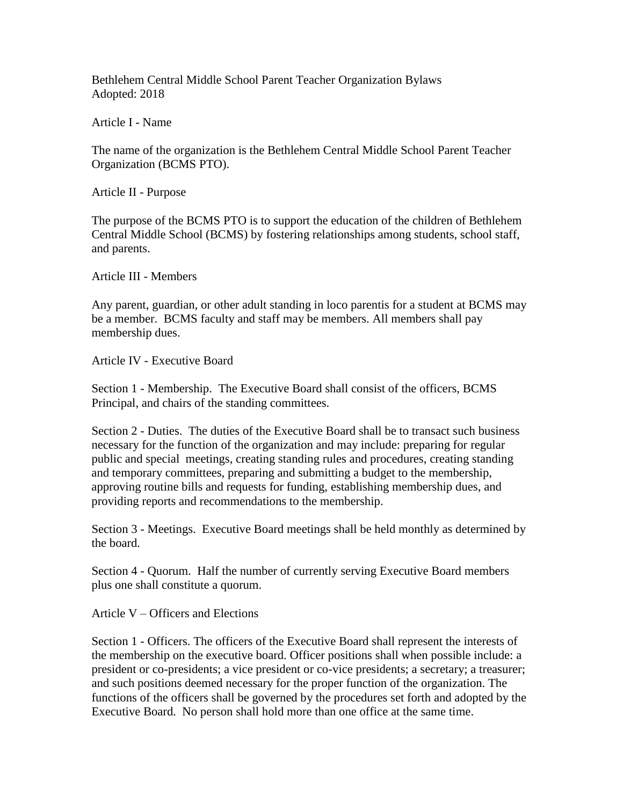Bethlehem Central Middle School Parent Teacher Organization Bylaws Adopted: 2018

Article I - Name

The name of the organization is the Bethlehem Central Middle School Parent Teacher Organization (BCMS PTO).

Article II - Purpose

The purpose of the BCMS PTO is to support the education of the children of Bethlehem Central Middle School (BCMS) by fostering relationships among students, school staff, and parents.

Article III - Members

Any parent, guardian, or other adult standing in loco parentis for a student at BCMS may be a member. BCMS faculty and staff may be members. All members shall pay membership dues.

Article IV - Executive Board

Section 1 - Membership. The Executive Board shall consist of the officers, BCMS Principal, and chairs of the standing committees.

Section 2 - Duties. The duties of the Executive Board shall be to transact such business necessary for the function of the organization and may include: preparing for regular public and special meetings, creating standing rules and procedures, creating standing and temporary committees, preparing and submitting a budget to the membership, approving routine bills and requests for funding, establishing membership dues, and providing reports and recommendations to the membership.

Section 3 - Meetings. Executive Board meetings shall be held monthly as determined by the board.

Section 4 - Quorum. Half the number of currently serving Executive Board members plus one shall constitute a quorum.

Article V – Officers and Elections

Section 1 - Officers. The officers of the Executive Board shall represent the interests of the membership on the executive board. Officer positions shall when possible include: a president or co-presidents; a vice president or co-vice presidents; a secretary; a treasurer; and such positions deemed necessary for the proper function of the organization. The functions of the officers shall be governed by the procedures set forth and adopted by the Executive Board. No person shall hold more than one office at the same time.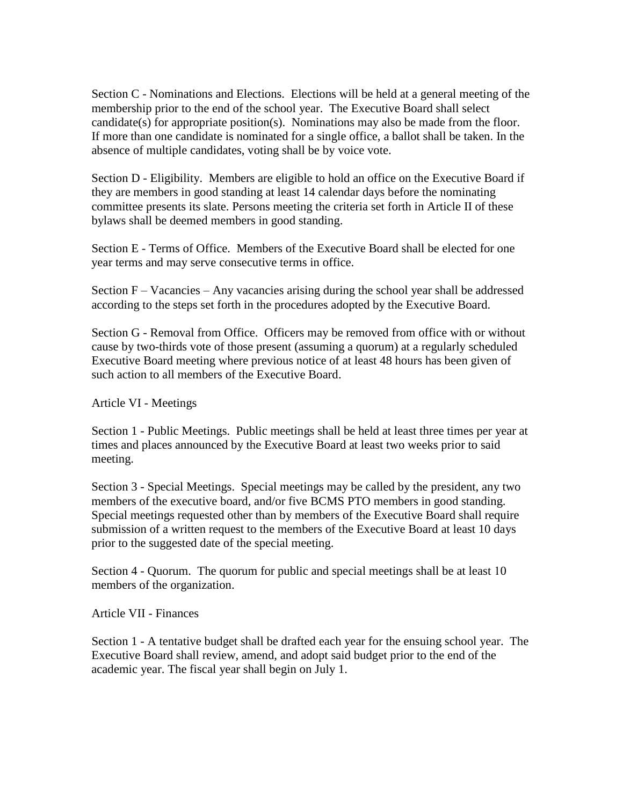Section C - Nominations and Elections. Elections will be held at a general meeting of the membership prior to the end of the school year. The Executive Board shall select candidate(s) for appropriate position(s). Nominations may also be made from the floor. If more than one candidate is nominated for a single office, a ballot shall be taken. In the absence of multiple candidates, voting shall be by voice vote.

Section D - Eligibility. Members are eligible to hold an office on the Executive Board if they are members in good standing at least 14 calendar days before the nominating committee presents its slate. Persons meeting the criteria set forth in Article II of these bylaws shall be deemed members in good standing.

Section E - Terms of Office. Members of the Executive Board shall be elected for one year terms and may serve consecutive terms in office.

Section F – Vacancies – Any vacancies arising during the school year shall be addressed according to the steps set forth in the procedures adopted by the Executive Board.

Section G - Removal from Office. Officers may be removed from office with or without cause by two-thirds vote of those present (assuming a quorum) at a regularly scheduled Executive Board meeting where previous notice of at least 48 hours has been given of such action to all members of the Executive Board.

Article VI - Meetings

Section 1 - Public Meetings. Public meetings shall be held at least three times per year at times and places announced by the Executive Board at least two weeks prior to said meeting.

Section 3 - Special Meetings. Special meetings may be called by the president, any two members of the executive board, and/or five BCMS PTO members in good standing. Special meetings requested other than by members of the Executive Board shall require submission of a written request to the members of the Executive Board at least 10 days prior to the suggested date of the special meeting.

Section 4 - Quorum. The quorum for public and special meetings shall be at least 10 members of the organization.

Article VII - Finances

Section 1 - A tentative budget shall be drafted each year for the ensuing school year. The Executive Board shall review, amend, and adopt said budget prior to the end of the academic year. The fiscal year shall begin on July 1.